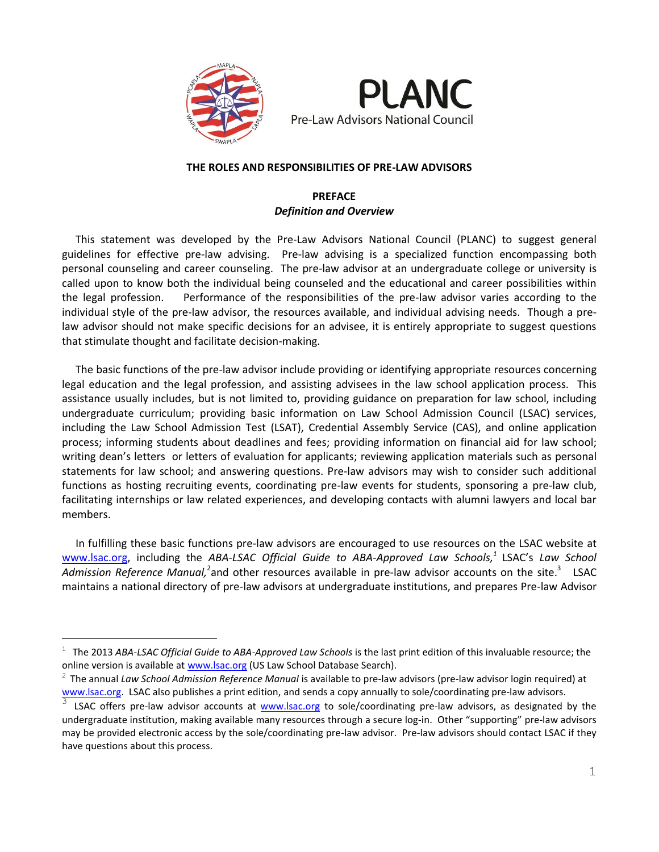

i<br>L



# **THE ROLES AND RESPONSIBILITIES OF PRE-LAW ADVISORS**

# **PREFACE** *Definition and Overview*

 This statement was developed by the Pre-Law Advisors National Council (PLANC) to suggest general guidelines for effective pre-law advising. Pre-law advising is a specialized function encompassing both personal counseling and career counseling. The pre-law advisor at an undergraduate college or university is called upon to know both the individual being counseled and the educational and career possibilities within the legal profession. Performance of the responsibilities of the pre-law advisor varies according to the individual style of the pre-law advisor, the resources available, and individual advising needs. Though a prelaw advisor should not make specific decisions for an advisee, it is entirely appropriate to suggest questions that stimulate thought and facilitate decision-making.

 The basic functions of the pre-law advisor include providing or identifying appropriate resources concerning legal education and the legal profession, and assisting advisees in the law school application process. This assistance usually includes, but is not limited to, providing guidance on preparation for law school, including undergraduate curriculum; providing basic information on Law School Admission Council (LSAC) services, including the Law School Admission Test (LSAT), Credential Assembly Service (CAS), and online application process; informing students about deadlines and fees; providing information on financial aid for law school; writing dean's letters or letters of evaluation for applicants; reviewing application materials such as personal statements for law school; and answering questions. Pre-law advisors may wish to consider such additional functions as hosting recruiting events, coordinating pre-law events for students, sponsoring a pre-law club, facilitating internships or law related experiences, and developing contacts with alumni lawyers and local bar members.

 In fulfilling these basic functions pre-law advisors are encouraged to use resources on the LSAC website at [www.lsac.org,](http://www.lsac.org/) including the *ABA-LSAC Official Guide to ABA-Approved Law Schools, 1* LSAC's *Law School*  Admission Reference Manual,<sup>2</sup>and other resources available in pre-law advisor accounts on the site.<sup>3</sup> LSAC maintains a national directory of pre-law advisors at undergraduate institutions, and prepares Pre-law Advisor

<sup>&</sup>lt;sup>1</sup> The 2013 ABA-LSAC Official Guide to ABA-Approved Law Schools is the last print edition of this invaluable resource; the online version is available at [www.lsac.org](http://www.lsac.org/) (US Law School Database Search).

<sup>2</sup> The annual *Law School Admission Reference Manual* is available to pre-law advisors (pre-law advisor login required) at [www.lsac.org.](http://www.lsac.org/) LSAC also publishes a print edition, and sends a copy annually to sole/coordinating pre-law advisors.

<sup>3</sup> LSAC offers pre-law advisor accounts at [www.lsac.org](http://www.lsac.org/) to sole/coordinating pre-law advisors, as designated by the undergraduate institution, making available many resources through a secure log-in. Other "supporting" pre-law advisors may be provided electronic access by the sole/coordinating pre-law advisor. Pre-law advisors should contact LSAC if they have questions about this process.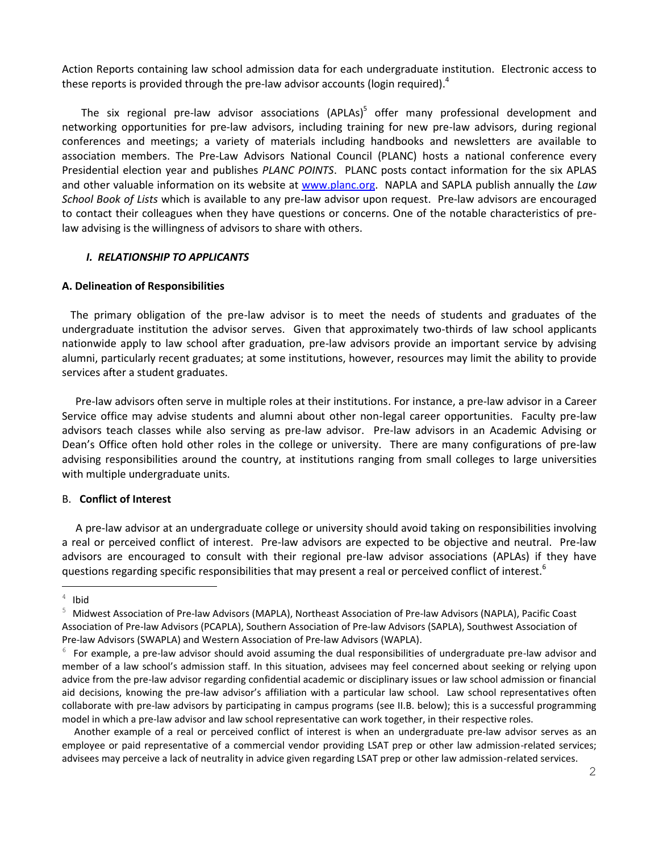Action Reports containing law school admission data for each undergraduate institution. Electronic access to these reports is provided through the pre-law advisor accounts (login required).<sup>4</sup>

The six regional pre-law advisor associations (APLAs)<sup>5</sup> offer many professional development and networking opportunities for pre-law advisors, including training for new pre-law advisors, during regional conferences and meetings; a variety of materials including handbooks and newsletters are available to association members. The Pre-Law Advisors National Council (PLANC) hosts a national conference every Presidential election year and publishes *PLANC POINTS*. PLANC posts contact information for the six APLAS and other valuable information on its website at [www.planc.org.](http://www.planc.org/) NAPLA and SAPLA publish annually the *Law School Book of Lists* which is available to any pre-law advisor upon request. Pre-law advisors are encouraged to contact their colleagues when they have questions or concerns. One of the notable characteristics of prelaw advising is the willingness of advisors to share with others.

# *I. RELATIONSHIP TO APPLICANTS*

# **A. Delineation of Responsibilities**

 The primary obligation of the pre-law advisor is to meet the needs of students and graduates of the undergraduate institution the advisor serves. Given that approximately two-thirds of law school applicants nationwide apply to law school after graduation, pre-law advisors provide an important service by advising alumni, particularly recent graduates; at some institutions, however, resources may limit the ability to provide services after a student graduates.

 Pre-law advisors often serve in multiple roles at their institutions. For instance, a pre-law advisor in a Career Service office may advise students and alumni about other non-legal career opportunities. Faculty pre-law advisors teach classes while also serving as pre-law advisor. Pre-law advisors in an Academic Advising or Dean's Office often hold other roles in the college or university. There are many configurations of pre-law advising responsibilities around the country, at institutions ranging from small colleges to large universities with multiple undergraduate units.

### B. **Conflict of Interest**

 A pre-law advisor at an undergraduate college or university should avoid taking on responsibilities involving a real or perceived conflict of interest. Pre-law advisors are expected to be objective and neutral. Pre-law advisors are encouraged to consult with their regional pre-law advisor associations (APLAs) if they have questions regarding specific responsibilities that may present a real or perceived conflict of interest.<sup>6</sup>

i<br>L

 Another example of a real or perceived conflict of interest is when an undergraduate pre-law advisor serves as an employee or paid representative of a commercial vendor providing LSAT prep or other law admission-related services; advisees may perceive a lack of neutrality in advice given regarding LSAT prep or other law admission-related services.

 $4$  Ibid

<sup>5</sup> Midwest Association of Pre-law Advisors (MAPLA), Northeast Association of Pre-law Advisors (NAPLA), Pacific Coast Association of Pre-law Advisors (PCAPLA), Southern Association of Pre-law Advisors (SAPLA), Southwest Association of Pre-law Advisors (SWAPLA) and Western Association of Pre-law Advisors (WAPLA).

 $6$  For example, a pre-law advisor should avoid assuming the dual responsibilities of undergraduate pre-law advisor and member of a law school's admission staff. In this situation, advisees may feel concerned about seeking or relying upon advice from the pre-law advisor regarding confidential academic or disciplinary issues or law school admission or financial aid decisions, knowing the pre-law advisor's affiliation with a particular law school. Law school representatives often collaborate with pre-law advisors by participating in campus programs (see II.B. below); this is a successful programming model in which a pre-law advisor and law school representative can work together, in their respective roles.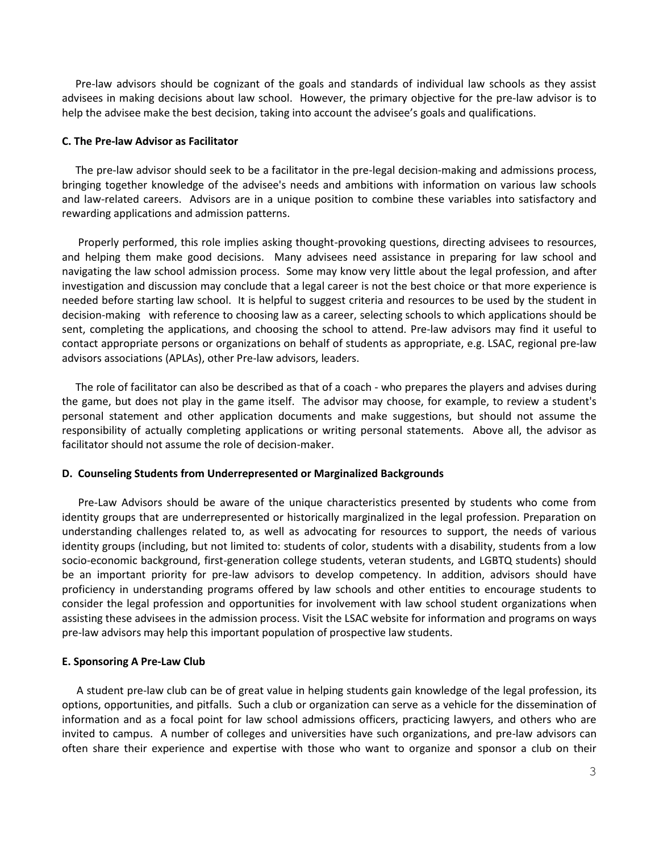Pre-law advisors should be cognizant of the goals and standards of individual law schools as they assist advisees in making decisions about law school. However, the primary objective for the pre-law advisor is to help the advisee make the best decision, taking into account the advisee's goals and qualifications.

### **C. The Pre-law Advisor as Facilitator**

 The pre-law advisor should seek to be a facilitator in the pre-legal decision-making and admissions process, bringing together knowledge of the advisee's needs and ambitions with information on various law schools and law-related careers. Advisors are in a unique position to combine these variables into satisfactory and rewarding applications and admission patterns.

 Properly performed, this role implies asking thought-provoking questions, directing advisees to resources, and helping them make good decisions. Many advisees need assistance in preparing for law school and navigating the law school admission process. Some may know very little about the legal profession, and after investigation and discussion may conclude that a legal career is not the best choice or that more experience is needed before starting law school. It is helpful to suggest criteria and resources to be used by the student in decision-making with reference to choosing law as a career, selecting schools to which applications should be sent, completing the applications, and choosing the school to attend. Pre-law advisors may find it useful to contact appropriate persons or organizations on behalf of students as appropriate, e.g. LSAC, regional pre-law advisors associations (APLAs), other Pre-law advisors, leaders.

 The role of facilitator can also be described as that of a coach - who prepares the players and advises during the game, but does not play in the game itself. The advisor may choose, for example, to review a student's personal statement and other application documents and make suggestions, but should not assume the responsibility of actually completing applications or writing personal statements. Above all, the advisor as facilitator should not assume the role of decision-maker.

### **D. Counseling Students from Underrepresented or Marginalized Backgrounds**

 Pre-Law Advisors should be aware of the unique characteristics presented by students who come from identity groups that are underrepresented or historically marginalized in the legal profession. Preparation on understanding challenges related to, as well as advocating for resources to support, the needs of various identity groups (including, but not limited to: students of color, students with a disability, students from a low socio-economic background, first-generation college students, veteran students, and LGBTQ students) should be an important priority for pre-law advisors to develop competency. In addition, advisors should have proficiency in understanding programs offered by law schools and other entities to encourage students to consider the legal profession and opportunities for involvement with law school student organizations when assisting these advisees in the admission process. Visit the LSAC website for information and programs on ways pre-law advisors may help this important population of prospective law students.

### **E. Sponsoring A Pre-Law Club**

A student pre-law club can be of great value in helping students gain knowledge of the legal profession, its options, opportunities, and pitfalls. Such a club or organization can serve as a vehicle for the dissemination of information and as a focal point for law school admissions officers, practicing lawyers, and others who are invited to campus. A number of colleges and universities have such organizations, and pre-law advisors can often share their experience and expertise with those who want to organize and sponsor a club on their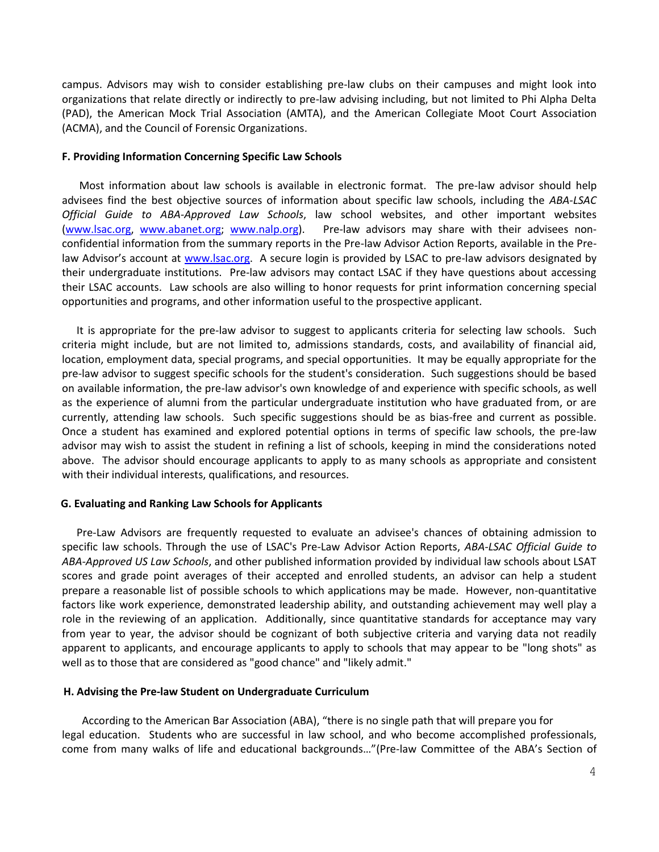campus. Advisors may wish to consider establishing pre-law clubs on their campuses and might look into organizations that relate directly or indirectly to pre-law advising including, but not limited to Phi Alpha Delta (PAD), the American Mock Trial Association (AMTA), and the American Collegiate Moot Court Association (ACMA), and the Council of Forensic Organizations.

### **F. Providing Information Concerning Specific Law Schools**

Most information about law schools is available in electronic format. The pre-law advisor should help advisees find the best objective sources of information about specific law schools, including the *ABA-LSAC Official Guide to ABA-Approved Law Schools*, law school websites, and other important websites [\(www.lsac.org,](http://www.lsac.org/) [www.abanet.org;](http://www.abanet.org/) [www.nalp.org\)](http://www.nalp.org/). Pre-law advisors may share with their advisees nonconfidential information from the summary reports in the Pre-law Advisor Action Reports, available in the Prelaw Advisor's account at [www.lsac.org.](http://www.lsac.org/) A secure login is provided by LSAC to pre-law advisors designated by their undergraduate institutions. Pre-law advisors may contact LSAC if they have questions about accessing their LSAC accounts. Law schools are also willing to honor requests for print information concerning special opportunities and programs, and other information useful to the prospective applicant.

It is appropriate for the pre-law advisor to suggest to applicants criteria for selecting law schools. Such criteria might include, but are not limited to, admissions standards, costs, and availability of financial aid, location, employment data, special programs, and special opportunities. It may be equally appropriate for the pre-law advisor to suggest specific schools for the student's consideration. Such suggestions should be based on available information, the pre-law advisor's own knowledge of and experience with specific schools, as well as the experience of alumni from the particular undergraduate institution who have graduated from, or are currently, attending law schools. Such specific suggestions should be as bias-free and current as possible. Once a student has examined and explored potential options in terms of specific law schools, the pre-law advisor may wish to assist the student in refining a list of schools, keeping in mind the considerations noted above. The advisor should encourage applicants to apply to as many schools as appropriate and consistent with their individual interests, qualifications, and resources.

### **G. Evaluating and Ranking Law Schools for Applicants**

Pre-Law Advisors are frequently requested to evaluate an advisee's chances of obtaining admission to specific law schools. Through the use of LSAC's Pre-Law Advisor Action Reports, *ABA-LSAC Official Guide to ABA-Approved US Law Schools*, and other published information provided by individual law schools about LSAT scores and grade point averages of their accepted and enrolled students, an advisor can help a student prepare a reasonable list of possible schools to which applications may be made. However, non-quantitative factors like work experience, demonstrated leadership ability, and outstanding achievement may well play a role in the reviewing of an application. Additionally, since quantitative standards for acceptance may vary from year to year, the advisor should be cognizant of both subjective criteria and varying data not readily apparent to applicants, and encourage applicants to apply to schools that may appear to be "long shots" as well as to those that are considered as "good chance" and "likely admit."

### **H. Advising the Pre-law Student on Undergraduate Curriculum**

According to the American Bar Association (ABA), "there is no single path that will prepare you for legal education. Students who are successful in law school, and who become accomplished professionals, come from many walks of life and educational backgrounds…"(Pre-law Committee of the ABA's Section of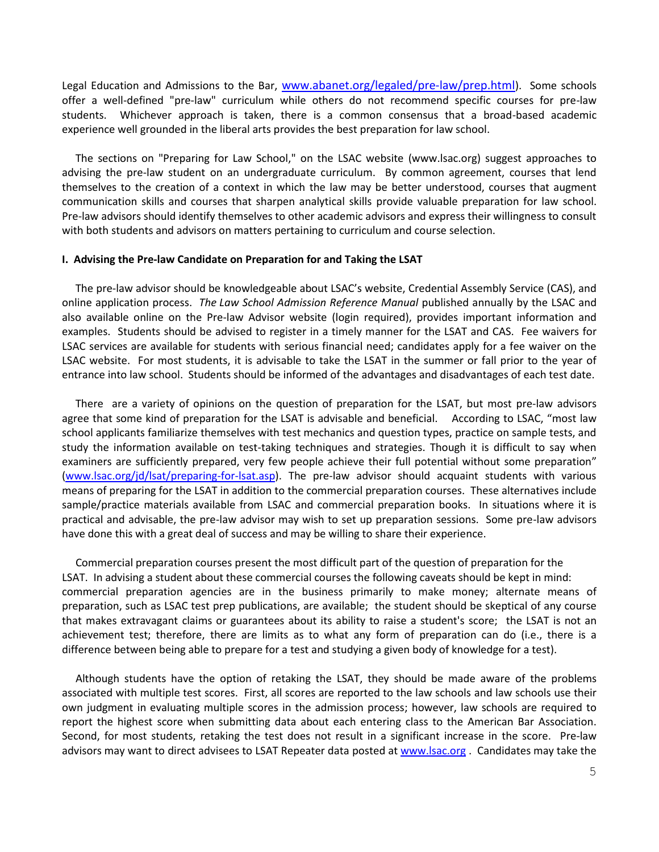Legal Education and Admissions to the Bar, [www.abanet.org/legaled/pre-law/prep.html](http://www.abanet.org/legaled/prelaw/prep.html)). Some schools offer a well-defined "pre-law" curriculum while others do not recommend specific courses for pre-law students. Whichever approach is taken, there is a common consensus that a broad-based academic experience well grounded in the liberal arts provides the best preparation for law school.

 The sections on "Preparing for Law School," on the LSAC website (www.lsac.org) suggest approaches to advising the pre-law student on an undergraduate curriculum. By common agreement, courses that lend themselves to the creation of a context in which the law may be better understood, courses that augment communication skills and courses that sharpen analytical skills provide valuable preparation for law school. Pre-law advisors should identify themselves to other academic advisors and express their willingness to consult with both students and advisors on matters pertaining to curriculum and course selection.

### **I. Advising the Pre-law Candidate on Preparation for and Taking the LSAT**

 The pre-law advisor should be knowledgeable about LSAC's website, Credential Assembly Service (CAS), and online application process. *The Law School Admission Reference Manual* published annually by the LSAC and also available online on the Pre-law Advisor website (login required), provides important information and examples. Students should be advised to register in a timely manner for the LSAT and CAS. Fee waivers for LSAC services are available for students with serious financial need; candidates apply for a fee waiver on the LSAC website. For most students, it is advisable to take the LSAT in the summer or fall prior to the year of entrance into law school. Students should be informed of the advantages and disadvantages of each test date.

 There are a variety of opinions on the question of preparation for the LSAT, but most pre-law advisors agree that some kind of preparation for the LSAT is advisable and beneficial. According to LSAC, "most law school applicants familiarize themselves with test mechanics and question types, practice on sample tests, and study the information available on test-taking techniques and strategies. Though it is difficult to say when examiners are sufficiently prepared, very few people achieve their full potential without some preparation" [\(www.lsac.org/jd/lsat/preparing-for-lsat.asp\)](http://www.lsac.org/jd/lsat/preparing-for-lsat.asp). The pre-law advisor should acquaint students with various means of preparing for the LSAT in addition to the commercial preparation courses. These alternatives include sample/practice materials available from LSAC and commercial preparation books. In situations where it is practical and advisable, the pre-law advisor may wish to set up preparation sessions. Some pre-law advisors have done this with a great deal of success and may be willing to share their experience.

 Commercial preparation courses present the most difficult part of the question of preparation for the LSAT. In advising a student about these commercial courses the following caveats should be kept in mind: commercial preparation agencies are in the business primarily to make money; alternate means of preparation, such as LSAC test prep publications, are available; the student should be skeptical of any course that makes extravagant claims or guarantees about its ability to raise a student's score; the LSAT is not an achievement test; therefore, there are limits as to what any form of preparation can do (i.e., there is a difference between being able to prepare for a test and studying a given body of knowledge for a test).

 Although students have the option of retaking the LSAT, they should be made aware of the problems associated with multiple test scores. First, all scores are reported to the law schools and law schools use their own judgment in evaluating multiple scores in the admission process; however, law schools are required to report the highest score when submitting data about each entering class to the American Bar Association. Second, for most students, retaking the test does not result in a significant increase in the score. Pre-law advisors may want to direct advisees to LSAT Repeater data posted at [www.lsac.org](http://www.lsac.org/). Candidates may take the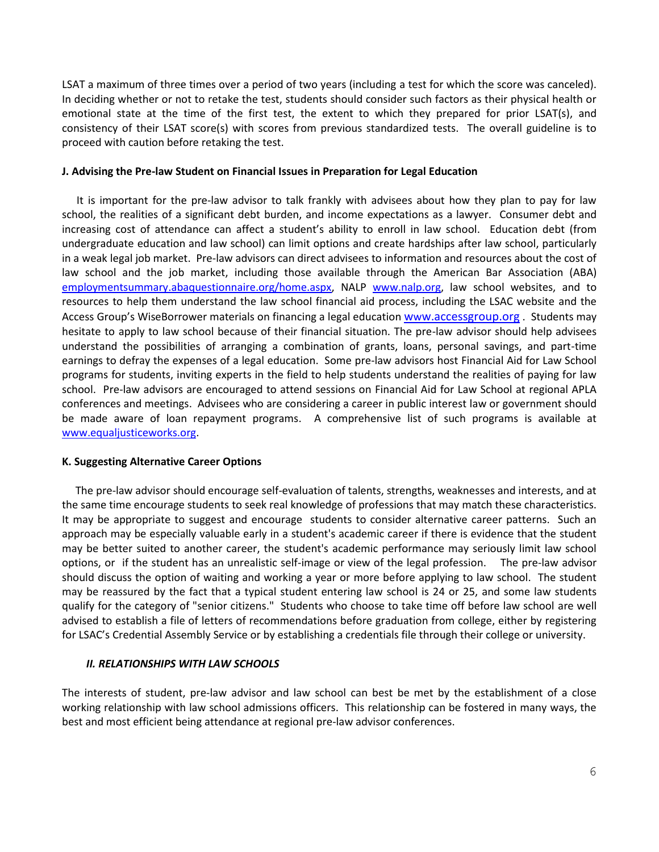LSAT a maximum of three times over a period of two years (including a test for which the score was canceled). In deciding whether or not to retake the test, students should consider such factors as their physical health or emotional state at the time of the first test, the extent to which they prepared for prior LSAT(s), and consistency of their LSAT score(s) with scores from previous standardized tests. The overall guideline is to proceed with caution before retaking the test.

# **J. Advising the Pre-law Student on Financial Issues in Preparation for Legal Education**

 It is important for the pre-law advisor to talk frankly with advisees about how they plan to pay for law school, the realities of a significant debt burden, and income expectations as a lawyer. Consumer debt and increasing cost of attendance can affect a student's ability to enroll in law school. Education debt (from undergraduate education and law school) can limit options and create hardships after law school, particularly in a weak legal job market. Pre-law advisors can direct advisees to information and resources about the cost of law school and the job market, including those available through the American Bar Association (ABA) [employmentsummary.abaquestionnaire.org/home.aspx,](http://employmentsummary.abaquestionnaire.org/home.aspx) NALP [www.nalp.org,](http://www.nalp.org/) law school websites, and to resources to help them understand the law school financial aid process, including the LSAC website and the Access Group's WiseBorrower materials on financing a legal education ww[w.accessgroup.org](http://www.accessgroup.org/). Students may hesitate to apply to law school because of their financial situation. The pre-law advisor should help advisees understand the possibilities of arranging a combination of grants, loans, personal savings, and part-time earnings to defray the expenses of a legal education. Some pre-law advisors host Financial Aid for Law School programs for students, inviting experts in the field to help students understand the realities of paying for law school. Pre-law advisors are encouraged to attend sessions on Financial Aid for Law School at regional APLA conferences and meetings. Advisees who are considering a career in public interest law or government should be made aware of loan repayment programs. A comprehensive list of such programs is available at [www.equaljusticeworks.org.](http://www.equaljusticeworks.org/)

# **K. Suggesting Alternative Career Options**

 The pre-law advisor should encourage self-evaluation of talents, strengths, weaknesses and interests, and at the same time encourage students to seek real knowledge of professions that may match these characteristics. It may be appropriate to suggest and encourage students to consider alternative career patterns. Such an approach may be especially valuable early in a student's academic career if there is evidence that the student may be better suited to another career, the student's academic performance may seriously limit law school options, or if the student has an unrealistic self-image or view of the legal profession. The pre-law advisor should discuss the option of waiting and working a year or more before applying to law school. The student may be reassured by the fact that a typical student entering law school is 24 or 25, and some law students qualify for the category of "senior citizens." Students who choose to take time off before law school are well advised to establish a file of letters of recommendations before graduation from college, either by registering for LSAC's Credential Assembly Service or by establishing a credentials file through their college or university.

# *II. RELATIONSHIPS WITH LAW SCHOOLS*

The interests of student, pre-law advisor and law school can best be met by the establishment of a close working relationship with law school admissions officers. This relationship can be fostered in many ways, the best and most efficient being attendance at regional pre-law advisor conferences.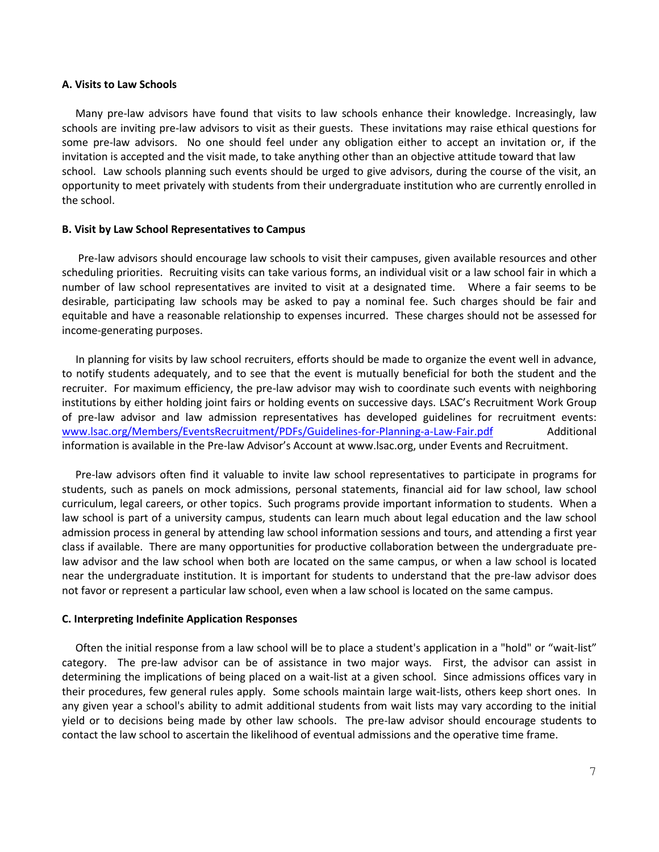#### **A. Visits to Law Schools**

 Many pre-law advisors have found that visits to law schools enhance their knowledge. Increasingly, law schools are inviting pre-law advisors to visit as their guests. These invitations may raise ethical questions for some pre-law advisors. No one should feel under any obligation either to accept an invitation or, if the invitation is accepted and the visit made, to take anything other than an objective attitude toward that law school. Law schools planning such events should be urged to give advisors, during the course of the visit, an opportunity to meet privately with students from their undergraduate institution who are currently enrolled in the school.

### **B. Visit by Law School Representatives to Campus**

 Pre-law advisors should encourage law schools to visit their campuses, given available resources and other scheduling priorities. Recruiting visits can take various forms, an individual visit or a law school fair in which a number of law school representatives are invited to visit at a designated time. Where a fair seems to be desirable, participating law schools may be asked to pay a nominal fee. Such charges should be fair and equitable and have a reasonable relationship to expenses incurred. These charges should not be assessed for income-generating purposes.

 In planning for visits by law school recruiters, efforts should be made to organize the event well in advance, to notify students adequately, and to see that the event is mutually beneficial for both the student and the recruiter. For maximum efficiency, the pre-law advisor may wish to coordinate such events with neighboring institutions by either holding joint fairs or holding events on successive days. LSAC's Recruitment Work Group of pre-law advisor and law admission representatives has developed guidelines for recruitment events: [www.lsac.org/Members/EventsRecruitment/PDFs/Guidelines-for-Planning-a-Law-Fair.pdf](http://www.lsac.org/Members/EventsRecruitment/PDFs/Guidelines-for-Planning-a-Law-Fair.pdf) Additional information is available in the Pre-law Advisor's Account at www.lsac.org, under Events and Recruitment.

 Pre-law advisors often find it valuable to invite law school representatives to participate in programs for students, such as panels on mock admissions, personal statements, financial aid for law school, law school curriculum, legal careers, or other topics. Such programs provide important information to students. When a law school is part of a university campus, students can learn much about legal education and the law school admission process in general by attending law school information sessions and tours, and attending a first year class if available. There are many opportunities for productive collaboration between the undergraduate prelaw advisor and the law school when both are located on the same campus, or when a law school is located near the undergraduate institution. It is important for students to understand that the pre-law advisor does not favor or represent a particular law school, even when a law school is located on the same campus.

#### **C. Interpreting Indefinite Application Responses**

 Often the initial response from a law school will be to place a student's application in a "hold" or "wait-list" category. The pre-law advisor can be of assistance in two major ways. First, the advisor can assist in determining the implications of being placed on a wait-list at a given school. Since admissions offices vary in their procedures, few general rules apply. Some schools maintain large wait-lists, others keep short ones. In any given year a school's ability to admit additional students from wait lists may vary according to the initial yield or to decisions being made by other law schools. The pre-law advisor should encourage students to contact the law school to ascertain the likelihood of eventual admissions and the operative time frame.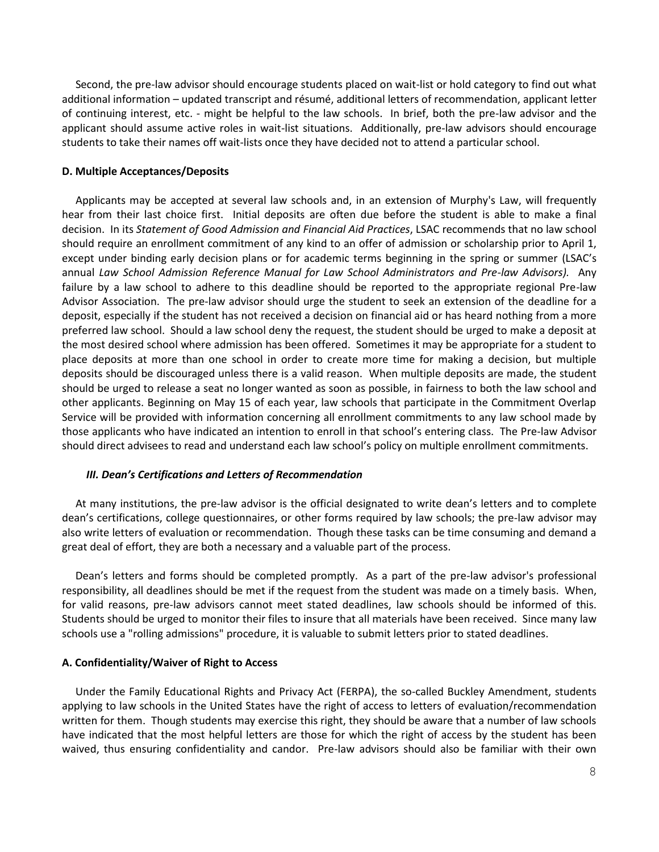Second, the pre-law advisor should encourage students placed on wait-list or hold category to find out what additional information – updated transcript and résumé, additional letters of recommendation, applicant letter of continuing interest, etc. - might be helpful to the law schools. In brief, both the pre-law advisor and the applicant should assume active roles in wait-list situations. Additionally, pre-law advisors should encourage students to take their names off wait-lists once they have decided not to attend a particular school.

### **D. Multiple Acceptances/Deposits**

 Applicants may be accepted at several law schools and, in an extension of Murphy's Law, will frequently hear from their last choice first. Initial deposits are often due before the student is able to make a final decision. In its *Statement of Good Admission and Financial Aid Practices*, LSAC recommends that no law school should require an enrollment commitment of any kind to an offer of admission or scholarship prior to April 1, except under binding early decision plans or for academic terms beginning in the spring or summer (LSAC's annual *Law School Admission Reference Manual for Law School Administrators and Pre-law Advisors).* Any failure by a law school to adhere to this deadline should be reported to the appropriate regional Pre-law Advisor Association. The pre-law advisor should urge the student to seek an extension of the deadline for a deposit, especially if the student has not received a decision on financial aid or has heard nothing from a more preferred law school. Should a law school deny the request, the student should be urged to make a deposit at the most desired school where admission has been offered. Sometimes it may be appropriate for a student to place deposits at more than one school in order to create more time for making a decision, but multiple deposits should be discouraged unless there is a valid reason. When multiple deposits are made, the student should be urged to release a seat no longer wanted as soon as possible, in fairness to both the law school and other applicants. Beginning on May 15 of each year, law schools that participate in the Commitment Overlap Service will be provided with information concerning all enrollment commitments to any law school made by those applicants who have indicated an intention to enroll in that school's entering class. The Pre-law Advisor should direct advisees to read and understand each law school's policy on multiple enrollment commitments.

#### *III. Dean's Certifications and Letters of Recommendation*

 At many institutions, the pre-law advisor is the official designated to write dean's letters and to complete dean's certifications, college questionnaires, or other forms required by law schools; the pre-law advisor may also write letters of evaluation or recommendation. Though these tasks can be time consuming and demand a great deal of effort, they are both a necessary and a valuable part of the process.

 Dean's letters and forms should be completed promptly. As a part of the pre-law advisor's professional responsibility, all deadlines should be met if the request from the student was made on a timely basis. When, for valid reasons, pre-law advisors cannot meet stated deadlines, law schools should be informed of this. Students should be urged to monitor their files to insure that all materials have been received. Since many law schools use a "rolling admissions" procedure, it is valuable to submit letters prior to stated deadlines.

### **A. Confidentiality/Waiver of Right to Access**

 Under the Family Educational Rights and Privacy Act (FERPA), the so-called Buckley Amendment, students applying to law schools in the United States have the right of access to letters of evaluation/recommendation written for them. Though students may exercise this right, they should be aware that a number of law schools have indicated that the most helpful letters are those for which the right of access by the student has been waived, thus ensuring confidentiality and candor. Pre-law advisors should also be familiar with their own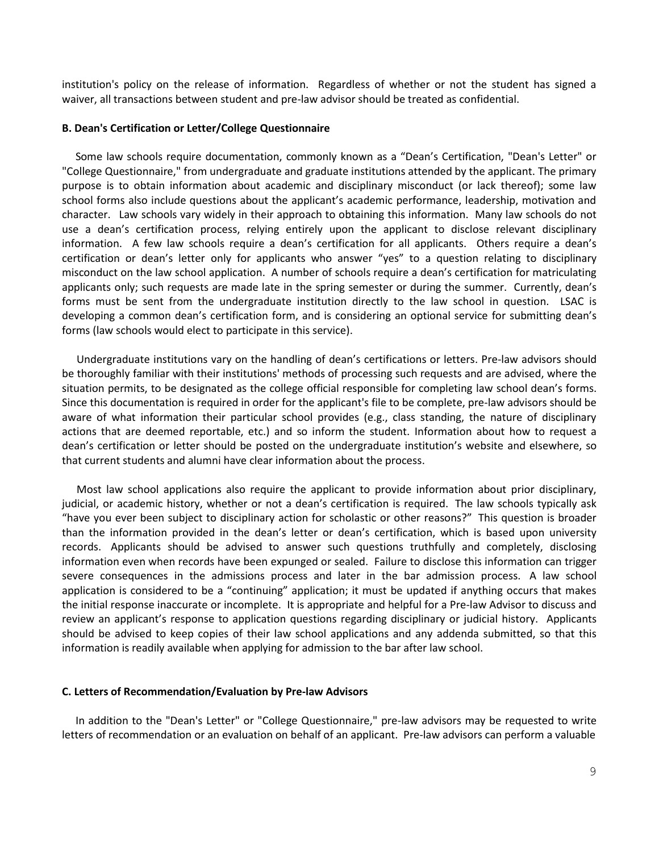institution's policy on the release of information. Regardless of whether or not the student has signed a waiver, all transactions between student and pre-law advisor should be treated as confidential.

#### **B. Dean's Certification or Letter/College Questionnaire**

 Some law schools require documentation, commonly known as a "Dean's Certification, "Dean's Letter" or "College Questionnaire," from undergraduate and graduate institutions attended by the applicant. The primary purpose is to obtain information about academic and disciplinary misconduct (or lack thereof); some law school forms also include questions about the applicant's academic performance, leadership, motivation and character. Law schools vary widely in their approach to obtaining this information. Many law schools do not use a dean's certification process, relying entirely upon the applicant to disclose relevant disciplinary information. A few law schools require a dean's certification for all applicants. Others require a dean's certification or dean's letter only for applicants who answer "yes" to a question relating to disciplinary misconduct on the law school application. A number of schools require a dean's certification for matriculating applicants only; such requests are made late in the spring semester or during the summer. Currently, dean's forms must be sent from the undergraduate institution directly to the law school in question. LSAC is developing a common dean's certification form, and is considering an optional service for submitting dean's forms (law schools would elect to participate in this service).

Undergraduate institutions vary on the handling of dean's certifications or letters. Pre-law advisors should be thoroughly familiar with their institutions' methods of processing such requests and are advised, where the situation permits, to be designated as the college official responsible for completing law school dean's forms. Since this documentation is required in order for the applicant's file to be complete, pre-law advisors should be aware of what information their particular school provides (e.g., class standing, the nature of disciplinary actions that are deemed reportable, etc.) and so inform the student. Information about how to request a dean's certification or letter should be posted on the undergraduate institution's website and elsewhere, so that current students and alumni have clear information about the process.

Most law school applications also require the applicant to provide information about prior disciplinary, judicial, or academic history, whether or not a dean's certification is required. The law schools typically ask "have you ever been subject to disciplinary action for scholastic or other reasons?" This question is broader than the information provided in the dean's letter or dean's certification, which is based upon university records. Applicants should be advised to answer such questions truthfully and completely, disclosing information even when records have been expunged or sealed. Failure to disclose this information can trigger severe consequences in the admissions process and later in the bar admission process. A law school application is considered to be a "continuing" application; it must be updated if anything occurs that makes the initial response inaccurate or incomplete. It is appropriate and helpful for a Pre-law Advisor to discuss and review an applicant's response to application questions regarding disciplinary or judicial history. Applicants should be advised to keep copies of their law school applications and any addenda submitted, so that this information is readily available when applying for admission to the bar after law school.

### **C. Letters of Recommendation/Evaluation by Pre-law Advisors**

 In addition to the "Dean's Letter" or "College Questionnaire," pre-law advisors may be requested to write letters of recommendation or an evaluation on behalf of an applicant. Pre-law advisors can perform a valuable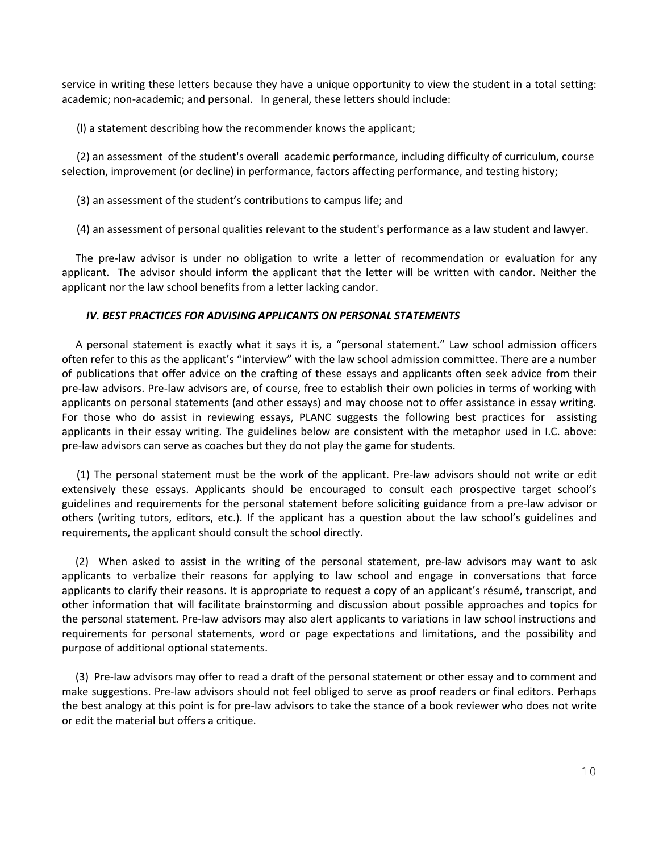service in writing these letters because they have a unique opportunity to view the student in a total setting: academic; non-academic; and personal. In general, these letters should include:

(l) a statement describing how the recommender knows the applicant;

(2) an assessment of the student's overall academic performance, including difficulty of curriculum, course selection, improvement (or decline) in performance, factors affecting performance, and testing history;

(3) an assessment of the student's contributions to campus life; and

(4) an assessment of personal qualities relevant to the student's performance as a law student and lawyer.

 The pre-law advisor is under no obligation to write a letter of recommendation or evaluation for any applicant. The advisor should inform the applicant that the letter will be written with candor. Neither the applicant nor the law school benefits from a letter lacking candor.

# *IV. BEST PRACTICES FOR ADVISING APPLICANTS ON PERSONAL STATEMENTS*

 A personal statement is exactly what it says it is, a "personal statement." Law school admission officers often refer to this as the applicant's "interview" with the law school admission committee. There are a number of publications that offer advice on the crafting of these essays and applicants often seek advice from their pre-law advisors. Pre-law advisors are, of course, free to establish their own policies in terms of working with applicants on personal statements (and other essays) and may choose not to offer assistance in essay writing. For those who do assist in reviewing essays, PLANC suggests the following best practices for assisting applicants in their essay writing. The guidelines below are consistent with the metaphor used in I.C. above: pre-law advisors can serve as coaches but they do not play the game for students.

(1) The personal statement must be the work of the applicant. Pre-law advisors should not write or edit extensively these essays. Applicants should be encouraged to consult each prospective target school's guidelines and requirements for the personal statement before soliciting guidance from a pre-law advisor or others (writing tutors, editors, etc.). If the applicant has a question about the law school's guidelines and requirements, the applicant should consult the school directly.

 (2) When asked to assist in the writing of the personal statement, pre-law advisors may want to ask applicants to verbalize their reasons for applying to law school and engage in conversations that force applicants to clarify their reasons. It is appropriate to request a copy of an applicant's résumé, transcript, and other information that will facilitate brainstorming and discussion about possible approaches and topics for the personal statement. Pre-law advisors may also alert applicants to variations in law school instructions and requirements for personal statements, word or page expectations and limitations, and the possibility and purpose of additional optional statements.

 (3) Pre-law advisors may offer to read a draft of the personal statement or other essay and to comment and make suggestions. Pre-law advisors should not feel obliged to serve as proof readers or final editors. Perhaps the best analogy at this point is for pre-law advisors to take the stance of a book reviewer who does not write or edit the material but offers a critique.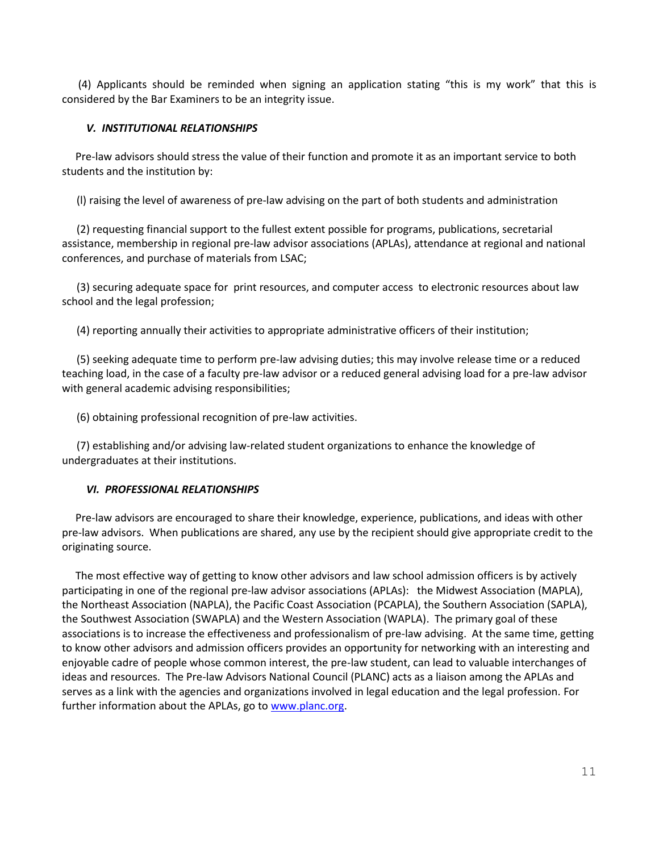(4) Applicants should be reminded when signing an application stating "this is my work" that this is considered by the Bar Examiners to be an integrity issue.

# *V. INSTITUTIONAL RELATIONSHIPS*

 Pre-law advisors should stress the value of their function and promote it as an important service to both students and the institution by:

(l) raising the level of awareness of pre-law advising on the part of both students and administration

(2) requesting financial support to the fullest extent possible for programs, publications, secretarial assistance, membership in regional pre-law advisor associations (APLAs), attendance at regional and national conferences, and purchase of materials from LSAC;

(3) securing adequate space for print resources, and computer access to electronic resources about law school and the legal profession;

(4) reporting annually their activities to appropriate administrative officers of their institution;

(5) seeking adequate time to perform pre-law advising duties; this may involve release time or a reduced teaching load, in the case of a faculty pre-law advisor or a reduced general advising load for a pre-law advisor with general academic advising responsibilities;

(6) obtaining professional recognition of pre-law activities.

(7) establishing and/or advising law-related student organizations to enhance the knowledge of undergraduates at their institutions.

# *VI. PROFESSIONAL RELATIONSHIPS*

 Pre-law advisors are encouraged to share their knowledge, experience, publications, and ideas with other pre-law advisors. When publications are shared, any use by the recipient should give appropriate credit to the originating source.

 The most effective way of getting to know other advisors and law school admission officers is by actively participating in one of the regional pre-law advisor associations (APLAs): the Midwest Association (MAPLA), the Northeast Association (NAPLA), the Pacific Coast Association (PCAPLA), the Southern Association (SAPLA), the Southwest Association (SWAPLA) and the Western Association (WAPLA). The primary goal of these associations is to increase the effectiveness and professionalism of pre-law advising. At the same time, getting to know other advisors and admission officers provides an opportunity for networking with an interesting and enjoyable cadre of people whose common interest, the pre-law student, can lead to valuable interchanges of ideas and resources. The Pre-law Advisors National Council (PLANC) acts as a liaison among the APLAs and serves as a link with the agencies and organizations involved in legal education and the legal profession. For further information about the APLAs, go t[o www.planc.org.](http://www.planc.org/)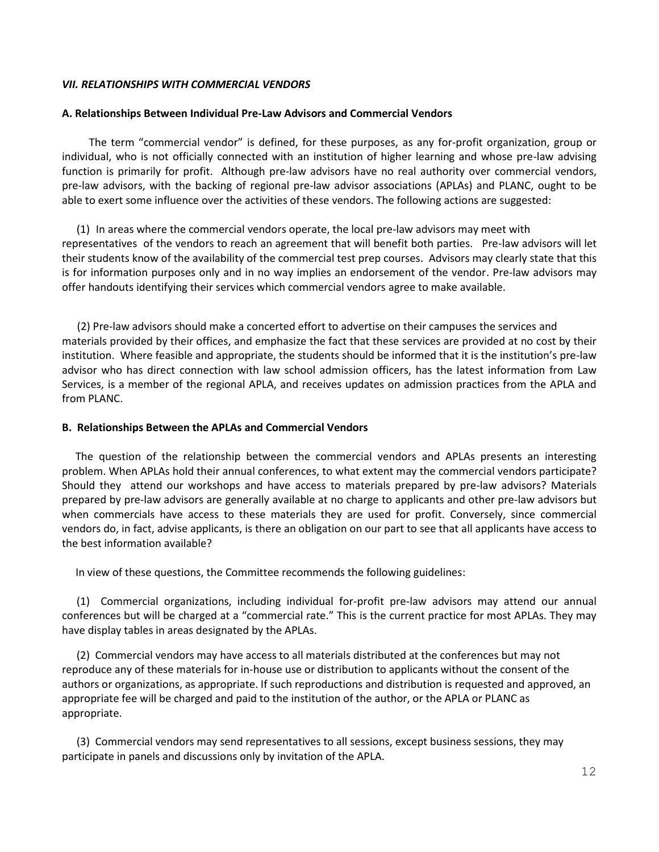# *VII. RELATIONSHIPS WITH COMMERCIAL VENDORS*

## **A. Relationships Between Individual Pre-Law Advisors and Commercial Vendors**

The term "commercial vendor" is defined, for these purposes, as any for-profit organization, group or individual, who is not officially connected with an institution of higher learning and whose pre-law advising function is primarily for profit. Although pre-law advisors have no real authority over commercial vendors, pre-law advisors, with the backing of regional pre-law advisor associations (APLAs) and PLANC, ought to be able to exert some influence over the activities of these vendors. The following actions are suggested:

(1) In areas where the commercial vendors operate, the local pre-law advisors may meet with representatives of the vendors to reach an agreement that will benefit both parties. Pre-law advisors will let their students know of the availability of the commercial test prep courses. Advisors may clearly state that this is for information purposes only and in no way implies an endorsement of the vendor. Pre-law advisors may offer handouts identifying their services which commercial vendors agree to make available.

 (2) Pre-law advisors should make a concerted effort to advertise on their campuses the services and materials provided by their offices, and emphasize the fact that these services are provided at no cost by their institution. Where feasible and appropriate, the students should be informed that it is the institution's pre-law advisor who has direct connection with law school admission officers, has the latest information from Law Services, is a member of the regional APLA, and receives updates on admission practices from the APLA and from PLANC.

### **B. Relationships Between the APLAs and Commercial Vendors**

 The question of the relationship between the commercial vendors and APLAs presents an interesting problem. When APLAs hold their annual conferences, to what extent may the commercial vendors participate? Should they attend our workshops and have access to materials prepared by pre-law advisors? Materials prepared by pre-law advisors are generally available at no charge to applicants and other pre-law advisors but when commercials have access to these materials they are used for profit. Conversely, since commercial vendors do, in fact, advise applicants, is there an obligation on our part to see that all applicants have access to the best information available?

In view of these questions, the Committee recommends the following guidelines:

(1) Commercial organizations, including individual for-profit pre-law advisors may attend our annual conferences but will be charged at a "commercial rate." This is the current practice for most APLAs. They may have display tables in areas designated by the APLAs.

(2) Commercial vendors may have access to all materials distributed at the conferences but may not reproduce any of these materials for in-house use or distribution to applicants without the consent of the authors or organizations, as appropriate. If such reproductions and distribution is requested and approved, an appropriate fee will be charged and paid to the institution of the author, or the APLA or PLANC as appropriate.

(3) Commercial vendors may send representatives to all sessions, except business sessions, they may participate in panels and discussions only by invitation of the APLA.